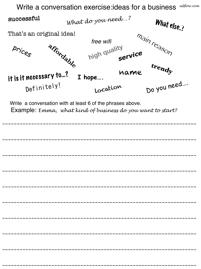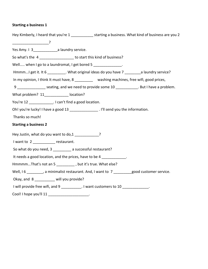## **Starting a business 1**

| Hey Kimberly, I heard that you're 1 _____________ starting a business. What kind of business are you 2 |  |
|--------------------------------------------------------------------------------------------------------|--|
|                                                                                                        |  |
| Yes Amy. 1 3_________________a laundry service.                                                        |  |
| So what's the 4 ____________________ to start this kind of business?                                   |  |
| Well when I go to a laundromat, I get bored 5 _____________.                                           |  |
| HmmmI get it. It 6 __________. What original ideas do you have 7 __________a laundry service?          |  |
| In my opinion, I think It must have, 8 __________ washing machines, free wifi, good prices,            |  |
| 9 _______________ seating, and we need to provide some 10 ___________. But I have a problem.           |  |
| What problem? 11_____________ location?                                                                |  |
| You're 12 _____________. I can't find a good location.                                                 |  |
| Oh! you're lucky! I have a good 13 ________________. I'll send you the information.                    |  |
| Thanks so much!                                                                                        |  |
| <b>Starting a business 2</b>                                                                           |  |
| Hey Justin, what do you want to do,1 ____________?                                                     |  |
| I want to 2 ______________ restaurant.                                                                 |  |
| So what do you need, 3 __________ a successful restaurant?                                             |  |
| It needs a good location, and the prices, have to be 4 ___________.                                    |  |
| HmmmmThat's not an 5 ___________, but it's true. What else?                                            |  |
| Well, I 6 ________, a minimalist restaurant. And, I want to 7 _______good customer service.            |  |
| Okay, and 8 _________ will you provide?                                                                |  |
| I will provide free wifi, and 9 __________. I want customers to 10 _____________.                      |  |
| Cool! I hope you'll 11 ______________________.                                                         |  |